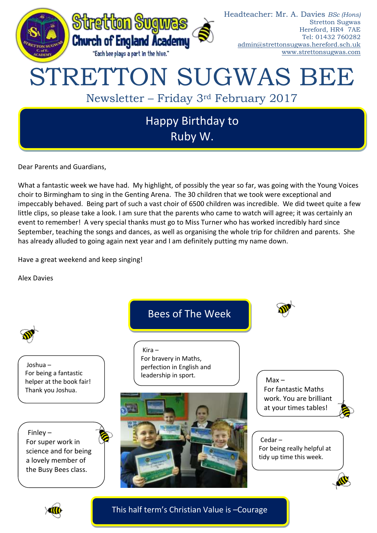

Dear Parents and Guardians,

What a fantastic week we have had. My highlight, of possibly the year so far, was going with the Young Voices choir to Birmingham to sing in the Genting Arena. The 30 children that we took were exceptional and impeccably behaved. Being part of such a vast choir of 6500 children was incredible. We did tweet quite a few little clips, so please take a look. I am sure that the parents who came to watch will agree; it was certainly an event to remember! A very special thanks must go to Miss Turner who has worked incredibly hard since September, teaching the songs and dances, as well as organising the whole trip for children and parents. She has already alluded to going again next year and I am definitely putting my name down.

Have a great weekend and keep singing!

Alex Davies



This half term's Christian Value is –Courage